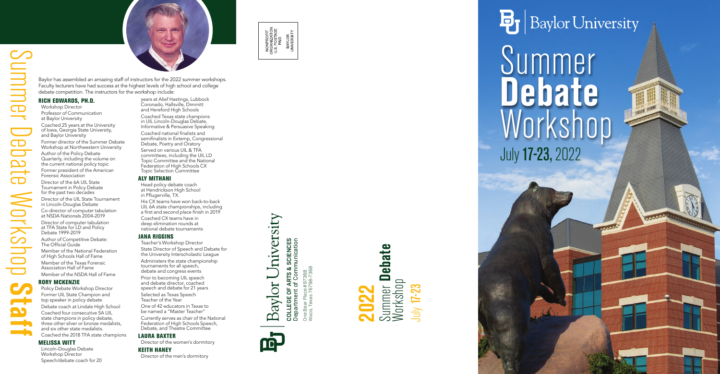







Baylor has assembled an amazing staff of instructors for the 2022 summer workshops. Faculty lecturers have had success at the highest levels of high school and college debate competition. The instructors for the workshop include:

#### RICH EDWARDS, PH.D.

Workshop Director Professor of Communication at Baylor University Coached 25 years at the University of Iowa, Georgia State University, and Baylor University

Former director of the Summer Debate Workshop at Northwestern University Author of the Policy Debate Quarterly, including the volume on the current national policy topic Former president of the American Forensic Association

Director of the 6A UIL State Tournament in Policy Debate for the past two decades Director of the UIL State Tournament in Lincoln-Douglas Debate

Co-director of computer tabulation at NSDA Nationals 2004-2019

Director of computer tabulation at TFA State for LD and Policy Debate 1999-2019

Author of Competitive Debate: The Official Guide

Member of the National Federation of High Schools Hall of Fame

Member of the Texas Forensic Association Hall of Fame Member of the NSDA Hall of Fame

### RORY MCKENZIE

Currently serves as chair of the National Federation of High Schools Speech, Debate, and Theatre Committee

Policy Debate Workshop Director Former UIL State Champion and top speaker in policy debate Debate coach at Lindale High School Coached four consecutive 5A UIL state champions in policy debate, three other silver or bronze medalists, and six other state medalists. Coached the 2018 TFA state champions

### MELISSA WITT

Lincoln-Douglas Debate Workshop Director Speech/debate coach for 20

years at Alief Hastings, Lubbock Coronado, Hallsville, Dimmitt and Hereford High Schools Coached Texas state champions in UIL Lincoln-Douglas Debate, Informative & Persuasive Speaking Coached national finalists and semifinalists in Extemp, Congressional Debate, Poetry and Oratory Served on various UIL & TFA committees, including the UIL LD Topic Committee and the National Federation of High Schools CX Topic Selection Committee

### ALY MITHANI

Head policy debate coach at Hendrickson High School in Pflugerville, TX. His CX teams have won back-to-back

UIL 6A state championships, including a first and second place finish in 2019 Coached CX teams have in

deep elimination rounds at national debate tournaments

### JANA RIGGINS

Teacher's Workshop Director State Director of Speech and Debate for the University Interscholastic League Administers the state championship tournaments for all speech, debate and congress events Prior to becoming UIL speech and debate director, coached speech and debate for 21 years Selected as Texas Speech

Teacher of the Year One of 42 educators in Texas to be named a "Master Teacher"

### LAURA BAXTER

Director of the women's dormitory

### KEITH HANEY

Director of the men's dormitory

## **Debate** Workshop

# Summer July17-23, 2022

## $\mathbf{B}_{\mathrm{I}}$  Baylor University

**COLLEGE OF ARTS & SCIENCES** Department of Communication

COLLEGE OF

ARTS & SCIENCES<br>of Communication

hiversity

Baylor<sup>1</sup>

Œ.

One Bear Place #97368 Waco, Texas 76798-7368

One Bear F<br>Waco, Texa

Place #97368<br>cas 76798-7368